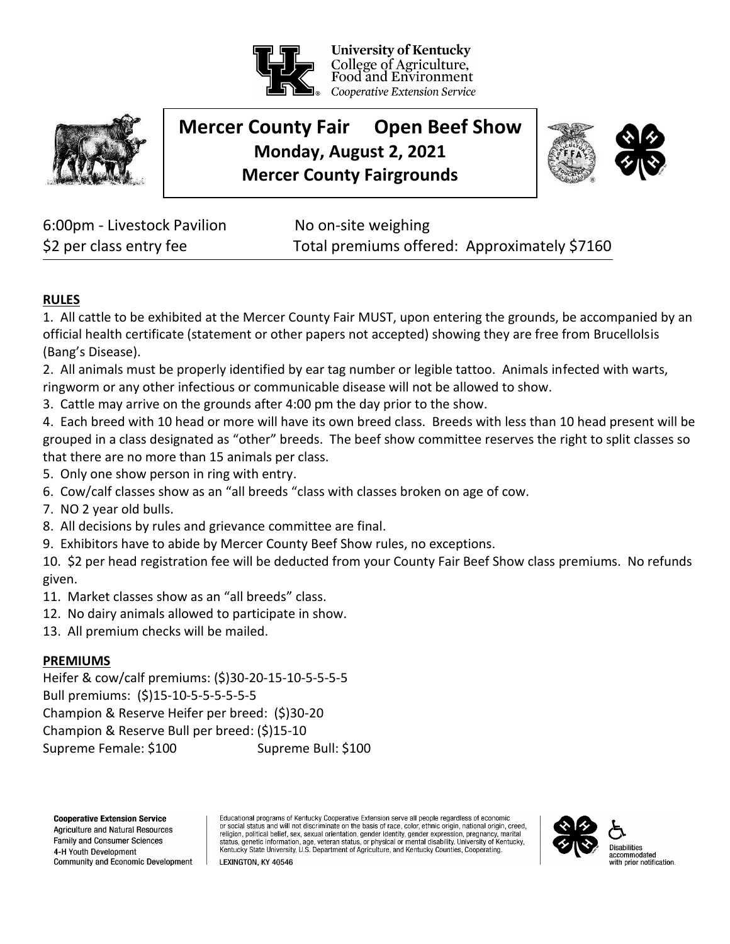

**University of Kentucky** College of Agriculture, Food and Environment Cooperative Extension Service



# **Mercer County Fair Open Beef Show Monday, August 2, 2021 Mercer County Fairgrounds**



6:00pm - Livestock Pavilion No on-site weighing

\$2 per class entry fee Total premiums offered: Approximately \$7160

## **RULES**

1. All cattle to be exhibited at the Mercer County Fair MUST, upon entering the grounds, be accompanied by an official health certificate (statement or other papers not accepted) showing they are free from Brucellolsis (Bang's Disease).

2. All animals must be properly identified by ear tag number or legible tattoo. Animals infected with warts, ringworm or any other infectious or communicable disease will not be allowed to show.

3. Cattle may arrive on the grounds after 4:00 pm the day prior to the show.

4. Each breed with 10 head or more will have its own breed class. Breeds with less than 10 head present will be grouped in a class designated as "other" breeds. The beef show committee reserves the right to split classes so that there are no more than 15 animals per class.

- 5. Only one show person in ring with entry.
- 6. Cow/calf classes show as an "all breeds "class with classes broken on age of cow.
- 7. NO 2 year old bulls.
- 8. All decisions by rules and grievance committee are final.
- 9. Exhibitors have to abide by Mercer County Beef Show rules, no exceptions.

10. \$2 per head registration fee will be deducted from your County Fair Beef Show class premiums. No refunds given.

- 11. Market classes show as an "all breeds" class.
- 12. No dairy animals allowed to participate in show.
- 13. All premium checks will be mailed.

## **PREMIUMS**

Heifer & cow/calf premiums: (\$)30-20-15-10-5-5-5-5 Bull premiums: (\$)15-10-5-5-5-5-5-5 Champion & Reserve Heifer per breed: (\$)30-20 Champion & Reserve Bull per breed: (\$)15-10 Supreme Female: \$100 Supreme Bull: \$100

**Cooperative Extension Service** Agriculture and Natural Resources Family and Consumer Sciences 4-H Youth Development Community and Economic Development Educational programs of Kentucky Cooperative Extension serve all people regardless of economic or social status and will not discriminate on the basis of race, color, ethnic origin, national origin, creed,<br>religion, political belief, sex, sexual orientation, gender identity, gender expression, pregnancy, marital status, genetic information, age, veteran status, or physical or mental disability. University of Kentucky, Kentucky State University, U.S. Department of Agriculture, and Kentucky Counties, Cooperating.



LEXINGTON. KY 40546